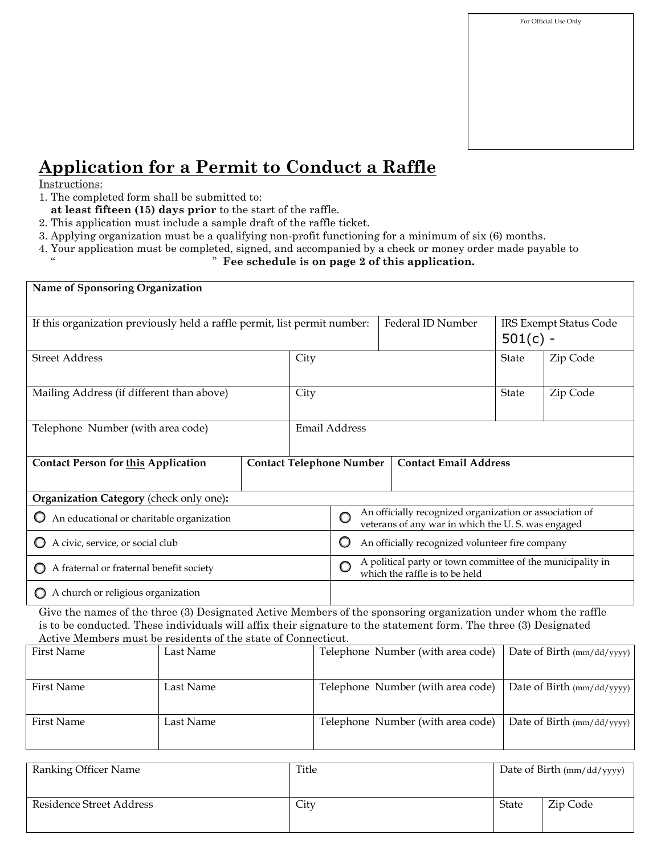

## **Application for a Permit to Conduct a Raffle**

## Instructions:

- 1. The completed form shall be submitted to:
- **at least fifteen (15) days prior** to the start of the raffle.
- 2. This application must include a sample draft of the raffle ticket.
- 3. Applying organization must be a qualifying non-profit functioning for a minimum of six (6) months.
- 4. Your application must be completed, signed, and accompanied by a check or money order made payable to

## " " **Fee schedule is on page 2 of this application.**

| Name of Sponsoring Organization                                                                                                                                                                                                                                                                     |           |                                                                                                              |                   |                                   |                                                                 |          |                            |                            |  |
|-----------------------------------------------------------------------------------------------------------------------------------------------------------------------------------------------------------------------------------------------------------------------------------------------------|-----------|--------------------------------------------------------------------------------------------------------------|-------------------|-----------------------------------|-----------------------------------------------------------------|----------|----------------------------|----------------------------|--|
| If this organization previously held a raffle permit, list permit number:                                                                                                                                                                                                                           |           |                                                                                                              | Federal ID Number | $501(c) -$                        | <b>IRS Exempt Status Code</b>                                   |          |                            |                            |  |
| <b>Street Address</b>                                                                                                                                                                                                                                                                               | City      |                                                                                                              |                   |                                   | State                                                           | Zip Code |                            |                            |  |
| Mailing Address (if different than above)                                                                                                                                                                                                                                                           |           |                                                                                                              | City              |                                   |                                                                 |          | State                      | Zip Code                   |  |
| Telephone Number (with area code)                                                                                                                                                                                                                                                                   |           |                                                                                                              |                   | Email Address                     |                                                                 |          |                            |                            |  |
| <b>Contact Person for this Application</b>                                                                                                                                                                                                                                                          |           |                                                                                                              |                   |                                   | <b>Contact Email Address</b><br><b>Contact Telephone Number</b> |          |                            |                            |  |
| Organization Category (check only one):                                                                                                                                                                                                                                                             |           |                                                                                                              |                   |                                   |                                                                 |          |                            |                            |  |
| $\bigcirc$ An educational or charitable organization                                                                                                                                                                                                                                                | O         | An officially recognized organization or association of<br>veterans of any war in which the U.S. was engaged |                   |                                   |                                                                 |          |                            |                            |  |
| A civic, service, or social club                                                                                                                                                                                                                                                                    | O         | An officially recognized volunteer fire company                                                              |                   |                                   |                                                                 |          |                            |                            |  |
| A fraternal or fraternal benefit society                                                                                                                                                                                                                                                            | Ō         | A political party or town committee of the municipality in<br>which the raffle is to be held                 |                   |                                   |                                                                 |          |                            |                            |  |
| A church or religious organization                                                                                                                                                                                                                                                                  |           |                                                                                                              |                   |                                   |                                                                 |          |                            |                            |  |
| Give the names of the three (3) Designated Active Members of the sponsoring organization under whom the raffle<br>is to be conducted. These individuals will affix their signature to the statement form. The three (3) Designated<br>Active Members must be residents of the state of Connecticut. |           |                                                                                                              |                   |                                   |                                                                 |          |                            |                            |  |
| <b>First Name</b>                                                                                                                                                                                                                                                                                   | Last Name |                                                                                                              |                   | Telephone Number (with area code) |                                                                 |          | Date of Birth (mm/dd/yyyy) |                            |  |
| <b>First Name</b>                                                                                                                                                                                                                                                                                   | Last Name |                                                                                                              |                   | Telephone Number (with area code) |                                                                 |          |                            | Date of Birth (mm/dd/yyyy) |  |
| <b>First Name</b>                                                                                                                                                                                                                                                                                   | Last Name |                                                                                                              |                   | Telephone Number (with area code) |                                                                 |          |                            | Date of Birth (mm/dd/yyyy) |  |

| Ranking Officer Name     | Title | Date of Birth (mm/dd/yyyy) |          |  |  |
|--------------------------|-------|----------------------------|----------|--|--|
| Residence Street Address | City  | State                      | Zip Code |  |  |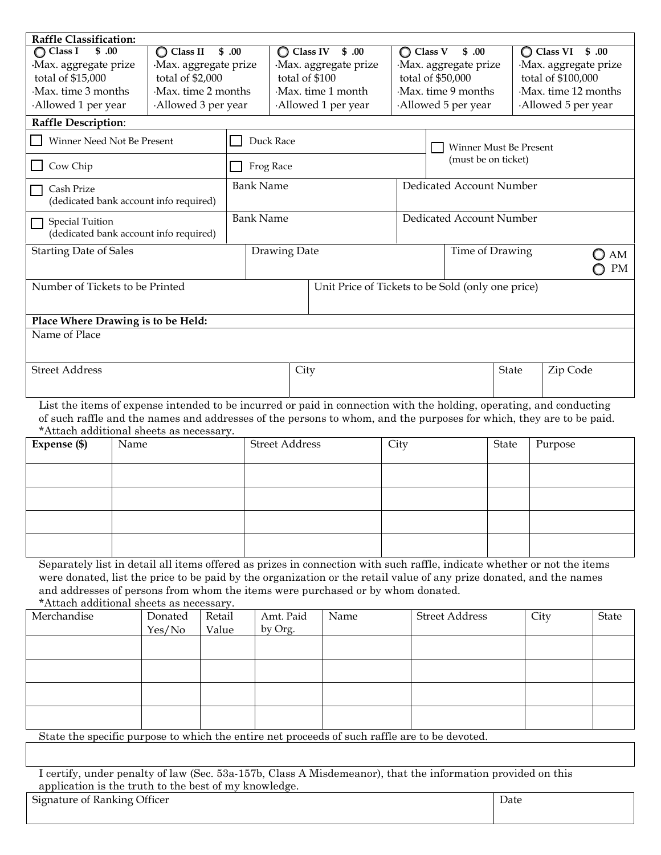| <b>Raffle Classification:</b>                                                                                                                                                                          |                                                 |                              |                      |                  |                            |                                                                                                                     |                                               |                                                   |                                             |                     |              |  |  |
|--------------------------------------------------------------------------------------------------------------------------------------------------------------------------------------------------------|-------------------------------------------------|------------------------------|----------------------|------------------|----------------------------|---------------------------------------------------------------------------------------------------------------------|-----------------------------------------------|---------------------------------------------------|---------------------------------------------|---------------------|--------------|--|--|
| $\sqrt{0}$<br>$\bigcirc$ Class I                                                                                                                                                                       |                                                 | \$.00<br>$\bigcirc$ Class II |                      |                  | $\bigcirc$ Class IV \$ .00 |                                                                                                                     |                                               | $\bigcirc$ Class V<br>\$.00                       | $\bigcirc$ Class VI $$.00$                  |                     |              |  |  |
| Max. aggregate prize<br>total of \$15,000                                                                                                                                                              |                                                 | total of \$2,000             | Max. aggregate prize |                  | Max. aggregate prize       |                                                                                                                     | ·Max. aggregate prize                         |                                                   | ·Max. aggregate prize<br>total of \$100,000 |                     |              |  |  |
| Max. time 3 months                                                                                                                                                                                     |                                                 | Max. time 2 months           |                      | total of \$100   |                            | Max. time 1 month                                                                                                   |                                               | total of \$50,000<br>Max. time 9 months           |                                             | Max. time 12 months |              |  |  |
| Allowed 1 per year                                                                                                                                                                                     |                                                 | Allowed 3 per year           |                      |                  |                            | Allowed 1 per year                                                                                                  |                                               | Allowed 5 per year                                |                                             | Allowed 5 per year  |              |  |  |
| Raffle Description:                                                                                                                                                                                    |                                                 |                              |                      |                  |                            |                                                                                                                     |                                               |                                                   |                                             |                     |              |  |  |
|                                                                                                                                                                                                        |                                                 |                              |                      |                  | Duck Race                  |                                                                                                                     |                                               |                                                   |                                             |                     |              |  |  |
| Winner Need Not Be Present                                                                                                                                                                             |                                                 |                              |                      |                  |                            |                                                                                                                     | Winner Must Be Present<br>(must be on ticket) |                                                   |                                             |                     |              |  |  |
| Cow Chip                                                                                                                                                                                               |                                                 |                              |                      | Frog Race        |                            |                                                                                                                     |                                               |                                                   |                                             |                     |              |  |  |
| Cash Prize<br>(dedicated bank account info required)                                                                                                                                                   |                                                 |                              |                      | <b>Bank Name</b> |                            |                                                                                                                     | Dedicated Account Number                      |                                                   |                                             |                     |              |  |  |
| <b>Special Tuition</b><br>(dedicated bank account info required)                                                                                                                                       |                                                 |                              |                      | <b>Bank Name</b> |                            |                                                                                                                     | Dedicated Account Number                      |                                                   |                                             |                     |              |  |  |
| <b>Starting Date of Sales</b>                                                                                                                                                                          |                                                 |                              |                      |                  | Drawing Date               |                                                                                                                     |                                               | Time of Drawing<br>AM<br>U                        |                                             |                     |              |  |  |
|                                                                                                                                                                                                        |                                                 |                              |                      |                  |                            |                                                                                                                     | PM                                            |                                                   |                                             |                     |              |  |  |
| Number of Tickets to be Printed                                                                                                                                                                        |                                                 |                              |                      |                  |                            |                                                                                                                     |                                               | Unit Price of Tickets to be Sold (only one price) |                                             |                     |              |  |  |
|                                                                                                                                                                                                        |                                                 |                              |                      |                  |                            |                                                                                                                     |                                               |                                                   |                                             |                     |              |  |  |
| Place Where Drawing is to be Held:<br>Name of Place                                                                                                                                                    |                                                 |                              |                      |                  |                            |                                                                                                                     |                                               |                                                   |                                             |                     |              |  |  |
| <b>Street Address</b>                                                                                                                                                                                  |                                                 |                              |                      |                  | City                       |                                                                                                                     |                                               | Zip Code<br>State                                 |                                             |                     |              |  |  |
|                                                                                                                                                                                                        |                                                 |                              |                      |                  |                            |                                                                                                                     |                                               |                                                   |                                             |                     |              |  |  |
|                                                                                                                                                                                                        |                                                 |                              |                      |                  |                            | List the items of expense intended to be incurred or paid in connection with the holding, operating, and conducting |                                               |                                                   |                                             |                     |              |  |  |
|                                                                                                                                                                                                        |                                                 |                              |                      |                  |                            | of such raffle and the names and addresses of the persons to whom, and the purposes for which, they are to be paid. |                                               |                                                   |                                             |                     |              |  |  |
| Expense (\$)                                                                                                                                                                                           | *Attach additional sheets as necessary.<br>Name |                              |                      |                  | <b>Street Address</b>      |                                                                                                                     |                                               |                                                   | <b>State</b>                                | Purpose             |              |  |  |
|                                                                                                                                                                                                        |                                                 |                              |                      |                  |                            |                                                                                                                     |                                               |                                                   |                                             |                     |              |  |  |
|                                                                                                                                                                                                        |                                                 |                              |                      |                  |                            |                                                                                                                     |                                               |                                                   |                                             |                     |              |  |  |
|                                                                                                                                                                                                        |                                                 |                              |                      |                  |                            |                                                                                                                     |                                               |                                                   |                                             |                     |              |  |  |
|                                                                                                                                                                                                        |                                                 |                              |                      |                  |                            |                                                                                                                     |                                               |                                                   |                                             |                     |              |  |  |
|                                                                                                                                                                                                        |                                                 |                              |                      |                  |                            |                                                                                                                     |                                               |                                                   |                                             |                     |              |  |  |
| Separately list in detail all items offered as prizes in connection with such raffle, indicate whether or not the items                                                                                |                                                 |                              |                      |                  |                            |                                                                                                                     |                                               |                                                   |                                             |                     |              |  |  |
| were donated, list the price to be paid by the organization or the retail value of any prize donated, and the names<br>and addresses of persons from whom the items were purchased or by whom donated. |                                                 |                              |                      |                  |                            |                                                                                                                     |                                               |                                                   |                                             |                     |              |  |  |
| *Attach additional sheets as necessary.                                                                                                                                                                |                                                 |                              |                      |                  |                            |                                                                                                                     |                                               |                                                   |                                             |                     |              |  |  |
| Merchandise                                                                                                                                                                                            |                                                 | Donated                      | Retail               |                  | Amt. Paid                  | Name                                                                                                                |                                               | <b>Street Address</b>                             |                                             | City                | <b>State</b> |  |  |
|                                                                                                                                                                                                        |                                                 | Yes/No                       | Value                |                  | by Org.                    |                                                                                                                     |                                               |                                                   |                                             |                     |              |  |  |
|                                                                                                                                                                                                        |                                                 |                              |                      |                  |                            |                                                                                                                     |                                               |                                                   |                                             |                     |              |  |  |
|                                                                                                                                                                                                        |                                                 |                              |                      |                  |                            |                                                                                                                     |                                               |                                                   |                                             |                     |              |  |  |
|                                                                                                                                                                                                        |                                                 |                              |                      |                  |                            |                                                                                                                     |                                               |                                                   |                                             |                     |              |  |  |
|                                                                                                                                                                                                        |                                                 |                              |                      |                  |                            |                                                                                                                     |                                               |                                                   |                                             |                     |              |  |  |
|                                                                                                                                                                                                        |                                                 |                              |                      |                  |                            | State the specific purpose to which the entire net proceeds of such raffle are to be devoted.                       |                                               |                                                   |                                             |                     |              |  |  |
|                                                                                                                                                                                                        |                                                 |                              |                      |                  |                            |                                                                                                                     |                                               |                                                   |                                             |                     |              |  |  |

I certify, under penalty of law (Sec. 53a-157b, Class A Misdemeanor), that the information provided on this application is the truth to the best of my knowledge.

Signature of Ranking Officer Date Date Date Date